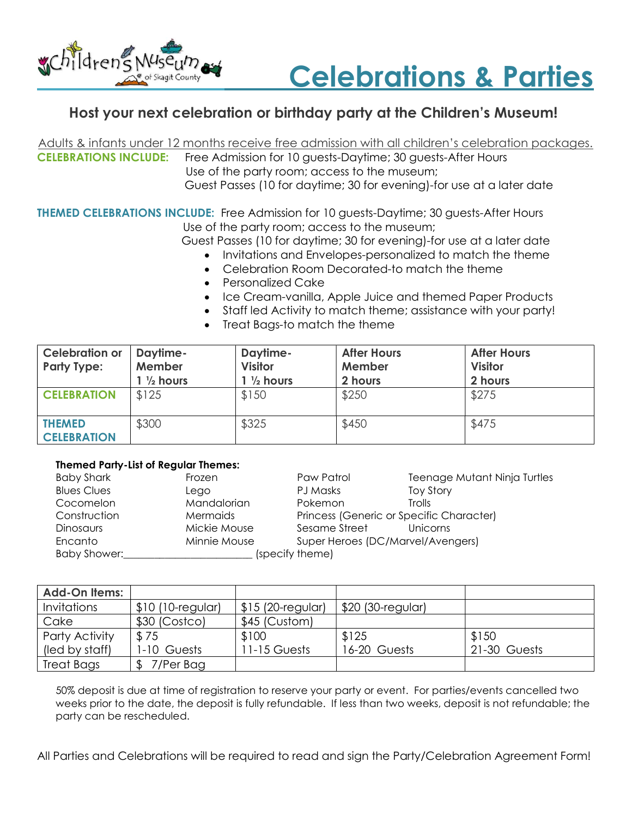



## Host your next celebration or birthday party at the Children's Museum!

Adults & infants under 12 months receive free admission with all children's celebration packages. CELEBRATIONS INCLUDE: Free Admission for 10 guests-Daytime; 30 guests-After Hours Use of the party room; access to the museum; Guest Passes (10 for daytime; 30 for evening)-for use at a later date

THEMED CELEBRATIONS INCLUDE: Free Admission for 10 guests-Daytime; 30 guests-After Hours Use of the party room; access to the museum;

Guest Passes (10 for daytime; 30 for evening)-for use at a later date

- Invitations and Envelopes-personalized to match the theme
- Celebration Room Decorated-to match the theme
- Personalized Cake
- Ice Cream-vanilla, Apple Juice and themed Paper Products
- Staff led Activity to match theme; assistance with your party!
- Treat Bags-to match the theme

| <b>Celebration or</b><br><b>Party Type:</b> | Daytime-<br>Member<br>$1\frac{1}{2}$ hours | Daytime-<br><b>Visitor</b><br>$1\frac{1}{2}$ hours | <b>After Hours</b><br>Member<br>2 hours | <b>After Hours</b><br><b>Visitor</b><br>2 hours |
|---------------------------------------------|--------------------------------------------|----------------------------------------------------|-----------------------------------------|-------------------------------------------------|
| <b>CELEBRATION</b>                          | \$125                                      | \$150                                              | \$250                                   | \$275                                           |
| <b>THEMED</b><br><b>CELEBRATION</b>         | \$300                                      | \$325                                              | \$450                                   | \$475                                           |

## Themed Party-List of Regular Themes:

| <b>Baby Shark</b>  | Frozen       | Paw Patrol                               | Teenage Mutant Ninja Turtles |
|--------------------|--------------|------------------------------------------|------------------------------|
| <b>Blues Clues</b> | Lego         | PJ Masks                                 | <b>Toy Story</b>             |
| Cocomelon          | Mandalorian  | Pokemon                                  | <b>Trolls</b>                |
| Construction       | Mermaids     | Princess (Generic or Specific Character) |                              |
| <b>Dinosaurs</b>   | Mickie Mouse | Sesame Street                            | Unicorns                     |
| Encanto            | Minnie Mouse | Super Heroes (DC/Marvel/Avengers)        |                              |
| Baby Shower:       |              | (specify theme)                          |                              |

| <b>Add-On Items:</b> |                   |                    |                   |              |
|----------------------|-------------------|--------------------|-------------------|--------------|
| <i>Invitations</i>   | \$10 (10-regular) | $$15$ (20-regular) | \$20 (30-regular) |              |
| Cake                 | \$30 (Costco)     | \$45 (Custom)      |                   |              |
| Party Activity       | \$75              | \$100              | \$125             | \$150        |
| (led by staff)       | 1-10 Guests       | 11-15 Guests       | 16-20 Guests      | 21-30 Guests |
| Treat Bags           | 7/Per Bag         |                    |                   |              |

50% deposit is due at time of registration to reserve your party or event. For parties/events cancelled two weeks prior to the date, the deposit is fully refundable. If less than two weeks, deposit is not refundable; the party can be rescheduled.

All Parties and Celebrations will be required to read and sign the Party/Celebration Agreement Form!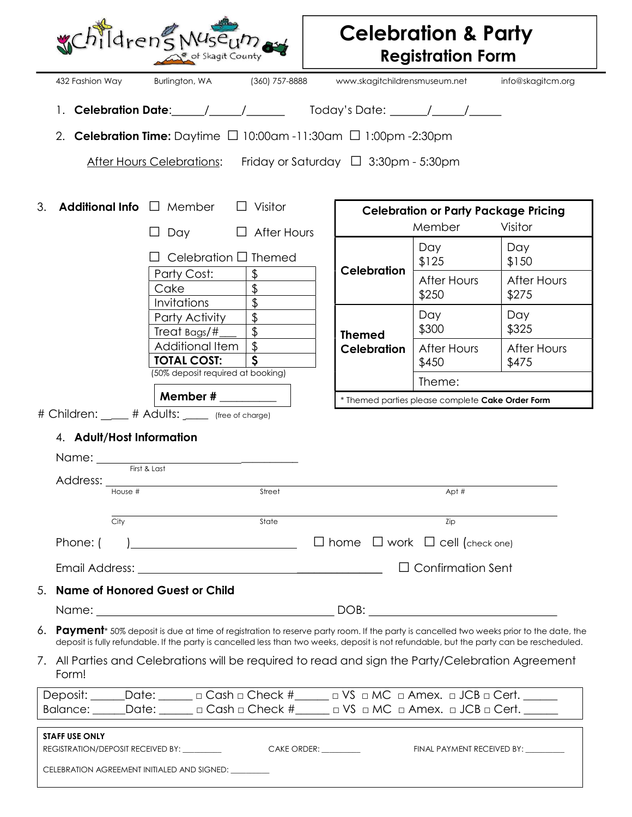|    |                                       | WChildren's Museum                               | Skagit County                                                                                                                                                                                                                                                                                 |                                                 | <b>Celebration &amp; Party</b><br><b>Registration Form</b> |                      |
|----|---------------------------------------|--------------------------------------------------|-----------------------------------------------------------------------------------------------------------------------------------------------------------------------------------------------------------------------------------------------------------------------------------------------|-------------------------------------------------|------------------------------------------------------------|----------------------|
|    | 432 Fashion Way                       | Burlington, WA                                   | (360) 757-8888                                                                                                                                                                                                                                                                                |                                                 | www.skagitchildrensmuseum.net                              | info@skagitcm.org    |
|    |                                       |                                                  | 1. Celebration Date: $\angle$ / $\angle$ / $\angle$ Today's Date: $\angle$ / $\angle$                                                                                                                                                                                                         |                                                 |                                                            |                      |
|    |                                       |                                                  | 2. Celebration Time: Daytime $\Box$ 10:00am -11:30am $\Box$ 1:00pm -2:30pm                                                                                                                                                                                                                    |                                                 |                                                            |                      |
|    |                                       |                                                  | After Hours Celebrations: Friday or Saturday $\Box$ 3:30pm - 5:30pm                                                                                                                                                                                                                           |                                                 |                                                            |                      |
|    |                                       |                                                  |                                                                                                                                                                                                                                                                                               |                                                 |                                                            |                      |
| 3. |                                       | Additional Info $\Box$ Member                    | Visitor                                                                                                                                                                                                                                                                                       |                                                 | <b>Celebration or Party Package Pricing</b>                |                      |
|    |                                       | Day                                              | After Hours                                                                                                                                                                                                                                                                                   |                                                 | Member                                                     | Visitor              |
|    |                                       |                                                  | Celebration □ Themed                                                                                                                                                                                                                                                                          |                                                 | Day                                                        | Day                  |
|    |                                       | Party Cost:                                      | \$                                                                                                                                                                                                                                                                                            | <b>Celebration</b>                              | \$125                                                      | \$150                |
|    |                                       | Cake                                             | \$                                                                                                                                                                                                                                                                                            |                                                 | <b>After Hours</b><br>\$250                                | After Hours<br>\$275 |
|    |                                       | Invitations                                      | \$                                                                                                                                                                                                                                                                                            |                                                 | Day                                                        | Day                  |
|    |                                       | Party Activity<br>Treat Bags/#                   | $\frac{1}{2}$<br>$\frac{1}{2}$                                                                                                                                                                                                                                                                | <b>Themed</b>                                   | \$300                                                      | \$325                |
|    |                                       | Additional Item<br><b>TOTAL COST:</b>            | \$<br>S                                                                                                                                                                                                                                                                                       | <b>Celebration</b>                              | After Hours<br>\$450                                       | After Hours<br>\$475 |
|    |                                       | (50% deposit required at booking)                |                                                                                                                                                                                                                                                                                               |                                                 | Theme:                                                     |                      |
|    |                                       |                                                  |                                                                                                                                                                                                                                                                                               |                                                 | * Themed parties please complete Cake Order Form           |                      |
|    |                                       | # Children: ____ # Adults: ____ (free of charge) |                                                                                                                                                                                                                                                                                               |                                                 |                                                            |                      |
|    | 4. Adult/Host Information<br>Address: | First & Last                                     |                                                                                                                                                                                                                                                                                               |                                                 |                                                            |                      |
|    | House #                               |                                                  | Street                                                                                                                                                                                                                                                                                        |                                                 | Apt #                                                      |                      |
|    | City                                  |                                                  | State                                                                                                                                                                                                                                                                                         |                                                 | Zip                                                        |                      |
|    | Phone: (                              |                                                  |                                                                                                                                                                                                                                                                                               | $\Box$ home $\Box$ work $\Box$ cell (check one) |                                                            |                      |
|    |                                       |                                                  |                                                                                                                                                                                                                                                                                               |                                                 | $\Box$ Confirmation Sent                                   |                      |
|    |                                       | <b>Name of Honored Guest or Child</b>            |                                                                                                                                                                                                                                                                                               |                                                 |                                                            |                      |
|    |                                       |                                                  |                                                                                                                                                                                                                                                                                               |                                                 |                                                            |                      |
|    |                                       |                                                  | Payment <sup>*</sup> 50% deposit is due at time of registration to reserve party room. If the party is cancelled two weeks prior to the date, the<br>deposit is fully refundable. If the party is cancelled less than two weeks, deposit is not refundable, but the party can be rescheduled. |                                                 |                                                            |                      |
|    | Form!                                 |                                                  | 7. All Parties and Celebrations will be required to read and sign the Party/Celebration Agreement                                                                                                                                                                                             |                                                 |                                                            |                      |
| 6. |                                       |                                                  | Deposit: _____Date: ______ a Cash a Check #_____ a VS a MC a Amex. a JCB a Cert. _____                                                                                                                                                                                                        |                                                 |                                                            |                      |
|    |                                       |                                                  | Balance: _____Date: ______ a Cash a Check #_____ a VS a MC a Amex. a JCB a Cert. _____                                                                                                                                                                                                        |                                                 |                                                            |                      |